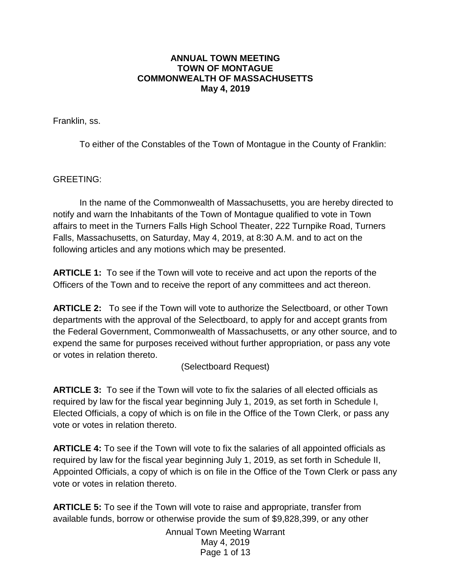#### **ANNUAL TOWN MEETING TOWN OF MONTAGUE COMMONWEALTH OF MASSACHUSETTS May 4, 2019**

Franklin, ss.

To either of the Constables of the Town of Montague in the County of Franklin:

GREETING:

In the name of the Commonwealth of Massachusetts, you are hereby directed to notify and warn the Inhabitants of the Town of Montague qualified to vote in Town affairs to meet in the Turners Falls High School Theater, 222 Turnpike Road, Turners Falls, Massachusetts, on Saturday, May 4, 2019, at 8:30 A.M. and to act on the following articles and any motions which may be presented.

**ARTICLE 1:** To see if the Town will vote to receive and act upon the reports of the Officers of the Town and to receive the report of any committees and act thereon.

**ARTICLE 2:** To see if the Town will vote to authorize the Selectboard, or other Town departments with the approval of the Selectboard, to apply for and accept grants from the Federal Government, Commonwealth of Massachusetts, or any other source, and to expend the same for purposes received without further appropriation, or pass any vote or votes in relation thereto.

#### (Selectboard Request)

**ARTICLE 3:** To see if the Town will vote to fix the salaries of all elected officials as required by law for the fiscal year beginning July 1, 2019, as set forth in Schedule I, Elected Officials, a copy of which is on file in the Office of the Town Clerk, or pass any vote or votes in relation thereto.

**ARTICLE 4:** To see if the Town will vote to fix the salaries of all appointed officials as required by law for the fiscal year beginning July 1, 2019, as set forth in Schedule II, Appointed Officials, a copy of which is on file in the Office of the Town Clerk or pass any vote or votes in relation thereto.

**ARTICLE 5:** To see if the Town will vote to raise and appropriate, transfer from available funds, borrow or otherwise provide the sum of \$9,828,399, or any other

> Annual Town Meeting Warrant May 4, 2019 Page 1 of 13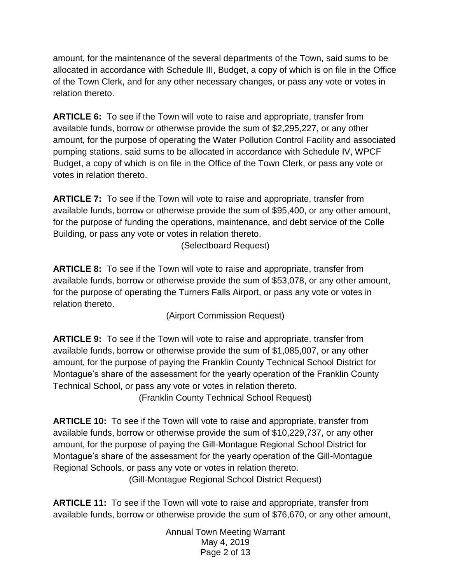amount, for the maintenance of the several departments of the Town, said sums to be allocated in accordance with Schedule III, Budget, a copy of which is on file in the Office of the Town Clerk, and for any other necessary changes, or pass any vote or votes in relation thereto.

**ARTICLE 6:** To see if the Town will vote to raise and appropriate, transfer from available funds, borrow or otherwise provide the sum of \$2,295,227, or any other amount, for the purpose of operating the Water Pollution Control Facility and associated pumping stations, said sums to be allocated in accordance with Schedule IV, WPCF Budget, a copy of which is on file in the Office of the Town Clerk, or pass any vote or votes in relation thereto.

**ARTICLE 7:** To see if the Town will vote to raise and appropriate, transfer from available funds, borrow or otherwise provide the sum of \$95,400, or any other amount, for the purpose of funding the operations, maintenance, and debt service of the Colle Building, or pass any vote or votes in relation thereto.

(Selectboard Request)

**ARTICLE 8:** To see if the Town will vote to raise and appropriate, transfer from available funds, borrow or otherwise provide the sum of \$53,078, or any other amount, for the purpose of operating the Turners Falls Airport, or pass any vote or votes in relation thereto.

(Airport Commission Request)

**ARTICLE 9:** To see if the Town will vote to raise and appropriate, transfer from available funds, borrow or otherwise provide the sum of \$1,085,007, or any other amount, for the purpose of paying the Franklin County Technical School District for Montague's share of the assessment for the yearly operation of the Franklin County Technical School, or pass any vote or votes in relation thereto.

(Franklin County Technical School Request)

**ARTICLE 10:** To see if the Town will vote to raise and appropriate, transfer from available funds, borrow or otherwise provide the sum of \$10,229,737, or any other amount, for the purpose of paying the Gill-Montague Regional School District for Montague's share of the assessment for the yearly operation of the Gill-Montague Regional Schools, or pass any vote or votes in relation thereto.

(Gill-Montague Regional School District Request)

**ARTICLE 11:** To see if the Town will vote to raise and appropriate, transfer from available funds, borrow or otherwise provide the sum of \$76,670, or any other amount,

> Annual Town Meeting Warrant May 4, 2019 Page 2 of 13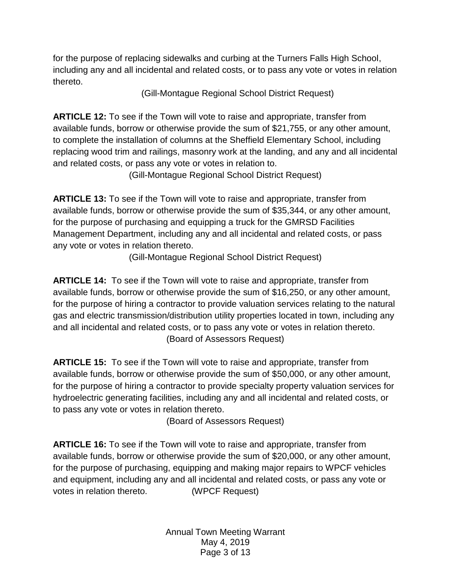for the purpose of replacing sidewalks and curbing at the Turners Falls High School, including any and all incidental and related costs, or to pass any vote or votes in relation thereto.

(Gill-Montague Regional School District Request)

**ARTICLE 12:** To see if the Town will vote to raise and appropriate, transfer from available funds, borrow or otherwise provide the sum of \$21,755, or any other amount, to complete the installation of columns at the Sheffield Elementary School, including replacing wood trim and railings, masonry work at the landing, and any and all incidental and related costs, or pass any vote or votes in relation to.

(Gill-Montague Regional School District Request)

**ARTICLE 13:** To see if the Town will vote to raise and appropriate, transfer from available funds, borrow or otherwise provide the sum of \$35,344, or any other amount, for the purpose of purchasing and equipping a truck for the GMRSD Facilities Management Department, including any and all incidental and related costs, or pass any vote or votes in relation thereto.

(Gill-Montague Regional School District Request)

**ARTICLE 14:** To see if the Town will vote to raise and appropriate, transfer from available funds, borrow or otherwise provide the sum of \$16,250, or any other amount, for the purpose of hiring a contractor to provide valuation services relating to the natural gas and electric transmission/distribution utility properties located in town, including any and all incidental and related costs, or to pass any vote or votes in relation thereto. (Board of Assessors Request)

**ARTICLE 15:** To see if the Town will vote to raise and appropriate, transfer from available funds, borrow or otherwise provide the sum of \$50,000, or any other amount, for the purpose of hiring a contractor to provide specialty property valuation services for hydroelectric generating facilities, including any and all incidental and related costs, or to pass any vote or votes in relation thereto.

(Board of Assessors Request)

**ARTICLE 16:** To see if the Town will vote to raise and appropriate, transfer from available funds, borrow or otherwise provide the sum of \$20,000, or any other amount, for the purpose of purchasing, equipping and making major repairs to WPCF vehicles and equipment, including any and all incidental and related costs, or pass any vote or votes in relation thereto. (WPCF Request)

> Annual Town Meeting Warrant May 4, 2019 Page 3 of 13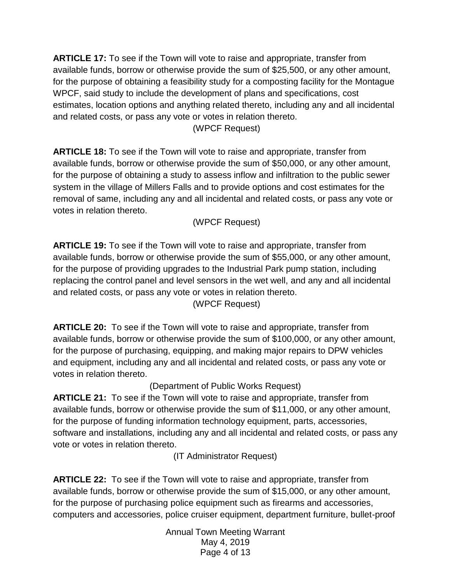**ARTICLE 17:** To see if the Town will vote to raise and appropriate, transfer from available funds, borrow or otherwise provide the sum of \$25,500, or any other amount, for the purpose of obtaining a feasibility study for a composting facility for the Montague WPCF, said study to include the development of plans and specifications, cost estimates, location options and anything related thereto, including any and all incidental and related costs, or pass any vote or votes in relation thereto.

(WPCF Request)

**ARTICLE 18:** To see if the Town will vote to raise and appropriate, transfer from available funds, borrow or otherwise provide the sum of \$50,000, or any other amount, for the purpose of obtaining a study to assess inflow and infiltration to the public sewer system in the village of Millers Falls and to provide options and cost estimates for the removal of same, including any and all incidental and related costs, or pass any vote or votes in relation thereto.

(WPCF Request)

**ARTICLE 19:** To see if the Town will vote to raise and appropriate, transfer from available funds, borrow or otherwise provide the sum of \$55,000, or any other amount, for the purpose of providing upgrades to the Industrial Park pump station, including replacing the control panel and level sensors in the wet well, and any and all incidental and related costs, or pass any vote or votes in relation thereto.

(WPCF Request)

**ARTICLE 20:** To see if the Town will vote to raise and appropriate, transfer from available funds, borrow or otherwise provide the sum of \$100,000, or any other amount, for the purpose of purchasing, equipping, and making major repairs to DPW vehicles and equipment, including any and all incidental and related costs, or pass any vote or votes in relation thereto.

(Department of Public Works Request)

**ARTICLE 21:** To see if the Town will vote to raise and appropriate, transfer from available funds, borrow or otherwise provide the sum of \$11,000, or any other amount, for the purpose of funding information technology equipment, parts, accessories, software and installations, including any and all incidental and related costs, or pass any vote or votes in relation thereto.

(IT Administrator Request)

**ARTICLE 22:** To see if the Town will vote to raise and appropriate, transfer from available funds, borrow or otherwise provide the sum of \$15,000, or any other amount, for the purpose of purchasing police equipment such as firearms and accessories, computers and accessories, police cruiser equipment, department furniture, bullet-proof

> Annual Town Meeting Warrant May 4, 2019 Page 4 of 13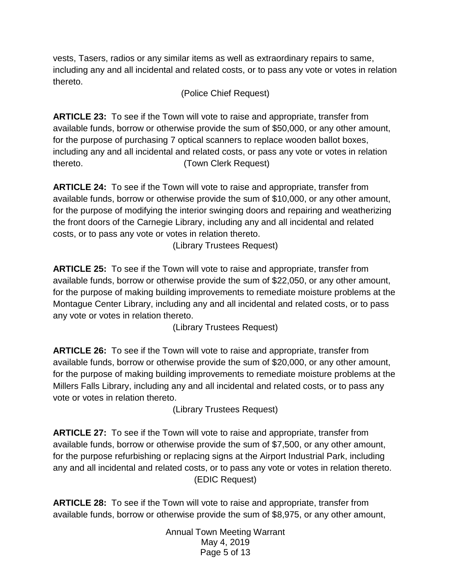vests, Tasers, radios or any similar items as well as extraordinary repairs to same, including any and all incidental and related costs, or to pass any vote or votes in relation thereto.

(Police Chief Request)

**ARTICLE 23:** To see if the Town will vote to raise and appropriate, transfer from available funds, borrow or otherwise provide the sum of \$50,000, or any other amount, for the purpose of purchasing 7 optical scanners to replace wooden ballot boxes, including any and all incidental and related costs, or pass any vote or votes in relation thereto. (Town Clerk Request)

**ARTICLE 24:** To see if the Town will vote to raise and appropriate, transfer from available funds, borrow or otherwise provide the sum of \$10,000, or any other amount, for the purpose of modifying the interior swinging doors and repairing and weatherizing the front doors of the Carnegie Library, including any and all incidental and related costs, or to pass any vote or votes in relation thereto.

(Library Trustees Request)

**ARTICLE 25:** To see if the Town will vote to raise and appropriate, transfer from available funds, borrow or otherwise provide the sum of \$22,050, or any other amount, for the purpose of making building improvements to remediate moisture problems at the Montague Center Library, including any and all incidental and related costs, or to pass any vote or votes in relation thereto.

(Library Trustees Request)

**ARTICLE 26:** To see if the Town will vote to raise and appropriate, transfer from available funds, borrow or otherwise provide the sum of \$20,000, or any other amount, for the purpose of making building improvements to remediate moisture problems at the Millers Falls Library, including any and all incidental and related costs, or to pass any vote or votes in relation thereto.

(Library Trustees Request)

**ARTICLE 27:** To see if the Town will vote to raise and appropriate, transfer from available funds, borrow or otherwise provide the sum of \$7,500, or any other amount, for the purpose refurbishing or replacing signs at the Airport Industrial Park, including any and all incidental and related costs, or to pass any vote or votes in relation thereto. (EDIC Request)

**ARTICLE 28:** To see if the Town will vote to raise and appropriate, transfer from available funds, borrow or otherwise provide the sum of \$8,975, or any other amount,

> Annual Town Meeting Warrant May 4, 2019 Page 5 of 13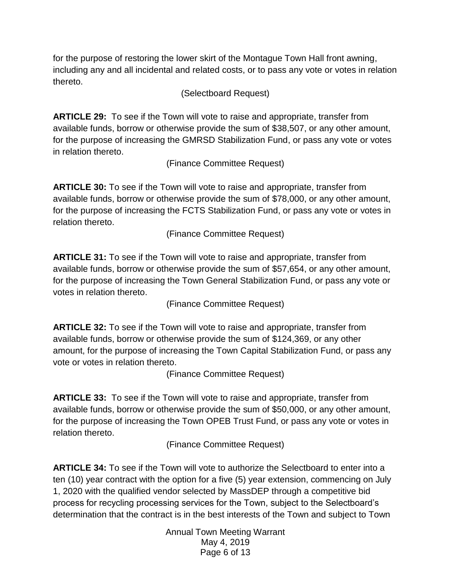for the purpose of restoring the lower skirt of the Montague Town Hall front awning, including any and all incidental and related costs, or to pass any vote or votes in relation thereto.

(Selectboard Request)

**ARTICLE 29:** To see if the Town will vote to raise and appropriate, transfer from available funds, borrow or otherwise provide the sum of \$38,507, or any other amount, for the purpose of increasing the GMRSD Stabilization Fund, or pass any vote or votes in relation thereto.

(Finance Committee Request)

**ARTICLE 30:** To see if the Town will vote to raise and appropriate, transfer from available funds, borrow or otherwise provide the sum of \$78,000, or any other amount, for the purpose of increasing the FCTS Stabilization Fund, or pass any vote or votes in relation thereto.

(Finance Committee Request)

**ARTICLE 31:** To see if the Town will vote to raise and appropriate, transfer from available funds, borrow or otherwise provide the sum of \$57,654, or any other amount, for the purpose of increasing the Town General Stabilization Fund, or pass any vote or votes in relation thereto.

(Finance Committee Request)

**ARTICLE 32:** To see if the Town will vote to raise and appropriate, transfer from available funds, borrow or otherwise provide the sum of \$124,369, or any other amount, for the purpose of increasing the Town Capital Stabilization Fund, or pass any vote or votes in relation thereto.

(Finance Committee Request)

**ARTICLE 33:** To see if the Town will vote to raise and appropriate, transfer from available funds, borrow or otherwise provide the sum of \$50,000, or any other amount, for the purpose of increasing the Town OPEB Trust Fund, or pass any vote or votes in relation thereto.

(Finance Committee Request)

**ARTICLE 34:** To see if the Town will vote to authorize the Selectboard to enter into a ten (10) year contract with the option for a five (5) year extension, commencing on July 1, 2020 with the qualified vendor selected by MassDEP through a competitive bid process for recycling processing services for the Town, subject to the Selectboard's determination that the contract is in the best interests of the Town and subject to Town

> Annual Town Meeting Warrant May 4, 2019 Page 6 of 13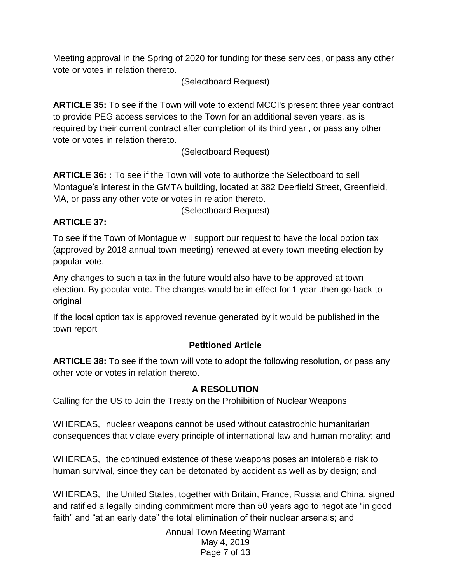Meeting approval in the Spring of 2020 for funding for these services, or pass any other vote or votes in relation thereto.

(Selectboard Request)

**ARTICLE 35:** To see if the Town will vote to extend MCCI's present three year contract to provide PEG access services to the Town for an additional seven years, as is required by their current contract after completion of its third year , or pass any other vote or votes in relation thereto.

(Selectboard Request)

**ARTICLE 36: :** To see if the Town will vote to authorize the Selectboard to sell Montague's interest in the GMTA building, located at 382 Deerfield Street, Greenfield, MA, or pass any other vote or votes in relation thereto.

(Selectboard Request)

## **ARTICLE 37:**

To see if the Town of Montague will support our request to have the local option tax (approved by 2018 annual town meeting) renewed at every town meeting election by popular vote.

Any changes to such a tax in the future would also have to be approved at town election. By popular vote. The changes would be in effect for 1 year .then go back to original

If the local option tax is approved revenue generated by it would be published in the town report

## **Petitioned Article**

**ARTICLE 38:** To see if the town will vote to adopt the following resolution, or pass any other vote or votes in relation thereto.

## **A RESOLUTION**

Calling for the US to Join the Treaty on the Prohibition of Nuclear Weapons

WHEREAS, nuclear weapons cannot be used without catastrophic humanitarian consequences that violate every principle of international law and human morality; and

WHEREAS, the continued existence of these weapons poses an intolerable risk to human survival, since they can be detonated by accident as well as by design; and

WHEREAS, the United States, together with Britain, France, Russia and China, signed and ratified a legally binding commitment more than 50 years ago to negotiate "in good faith" and "at an early date" the total elimination of their nuclear arsenals; and

> Annual Town Meeting Warrant May 4, 2019 Page 7 of 13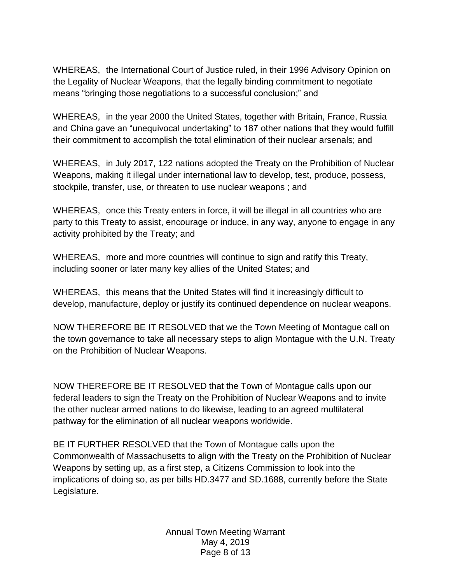WHEREAS, the International Court of Justice ruled, in their 1996 Advisory Opinion on the Legality of Nuclear Weapons, that the legally binding commitment to negotiate means "bringing those negotiations to a successful conclusion;" and

WHEREAS, in the year 2000 the United States, together with Britain, France, Russia and China gave an "unequivocal undertaking" to 187 other nations that they would fulfill their commitment to accomplish the total elimination of their nuclear arsenals; and

WHEREAS, in July 2017, 122 nations adopted the Treaty on the Prohibition of Nuclear Weapons, making it illegal under international law to develop, test, produce, possess, stockpile, transfer, use, or threaten to use nuclear weapons ; and

WHEREAS, once this Treaty enters in force, it will be illegal in all countries who are party to this Treaty to assist, encourage or induce, in any way, anyone to engage in any activity prohibited by the Treaty; and

WHEREAS, more and more countries will continue to sign and ratify this Treaty, including sooner or later many key allies of the United States; and

WHEREAS, this means that the United States will find it increasingly difficult to develop, manufacture, deploy or justify its continued dependence on nuclear weapons.

NOW THEREFORE BE IT RESOLVED that we the Town Meeting of Montague call on the town governance to take all necessary steps to align Montague with the U.N. Treaty on the Prohibition of Nuclear Weapons.

NOW THEREFORE BE IT RESOLVED that the Town of Montague calls upon our federal leaders to sign the Treaty on the Prohibition of Nuclear Weapons and to invite the other nuclear armed nations to do likewise, leading to an agreed multilateral pathway for the elimination of all nuclear weapons worldwide.

BE IT FURTHER RESOLVED that the Town of Montague calls upon the Commonwealth of Massachusetts to align with the Treaty on the Prohibition of Nuclear Weapons by setting up, as a first step, a Citizens Commission to look into the implications of doing so, as per bills HD.3477 and SD.1688, currently before the State Legislature.

> Annual Town Meeting Warrant May 4, 2019 Page 8 of 13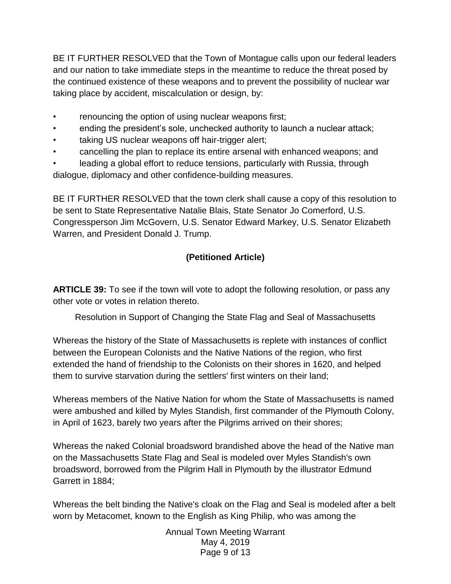BE IT FURTHER RESOLVED that the Town of Montague calls upon our federal leaders and our nation to take immediate steps in the meantime to reduce the threat posed by the continued existence of these weapons and to prevent the possibility of nuclear war taking place by accident, miscalculation or design, by:

- renouncing the option of using nuclear weapons first;
- ending the president's sole, unchecked authority to launch a nuclear attack;
- taking US nuclear weapons off hair-trigger alert;
- cancelling the plan to replace its entire arsenal with enhanced weapons; and

leading a global effort to reduce tensions, particularly with Russia, through dialogue, diplomacy and other confidence-building measures.

BE IT FURTHER RESOLVED that the town clerk shall cause a copy of this resolution to be sent to State Representative Natalie Blais, State Senator Jo Comerford, U.S. Congressperson Jim McGovern, U.S. Senator Edward Markey, U.S. Senator Elizabeth Warren, and President Donald J. Trump.

# **(Petitioned Article)**

**ARTICLE 39:** To see if the town will vote to adopt the following resolution, or pass any other vote or votes in relation thereto.

Resolution in Support of Changing the State Flag and Seal of Massachusetts

Whereas the history of the State of Massachusetts is replete with instances of conflict between the European Colonists and the Native Nations of the region, who first extended the hand of friendship to the Colonists on their shores in 1620, and helped them to survive starvation during the settlers' first winters on their land;

Whereas members of the Native Nation for whom the State of Massachusetts is named were ambushed and killed by Myles Standish, first commander of the Plymouth Colony, in April of 1623, barely two years after the Pilgrims arrived on their shores;

Whereas the naked Colonial broadsword brandished above the head of the Native man on the Massachusetts State Flag and Seal is modeled over Myles Standish's own broadsword, borrowed from the Pilgrim Hall in Plymouth by the illustrator Edmund Garrett in 1884;

Whereas the belt binding the Native's cloak on the Flag and Seal is modeled after a belt worn by Metacomet, known to the English as King Philip, who was among the

> Annual Town Meeting Warrant May 4, 2019 Page 9 of 13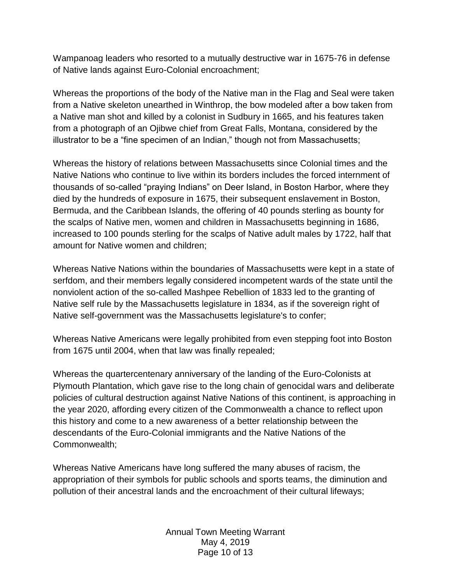Wampanoag leaders who resorted to a mutually destructive war in 1675-76 in defense of Native lands against Euro-Colonial encroachment;

Whereas the proportions of the body of the Native man in the Flag and Seal were taken from a Native skeleton unearthed in Winthrop, the bow modeled after a bow taken from a Native man shot and killed by a colonist in Sudbury in 1665, and his features taken from a photograph of an Ojibwe chief from Great Falls, Montana, considered by the illustrator to be a "fine specimen of an Indian," though not from Massachusetts;

Whereas the history of relations between Massachusetts since Colonial times and the Native Nations who continue to live within its borders includes the forced internment of thousands of so-called "praying Indians" on Deer Island, in Boston Harbor, where they died by the hundreds of exposure in 1675, their subsequent enslavement in Boston, Bermuda, and the Caribbean Islands, the offering of 40 pounds sterling as bounty for the scalps of Native men, women and children in Massachusetts beginning in 1686, increased to 100 pounds sterling for the scalps of Native adult males by 1722, half that amount for Native women and children;

Whereas Native Nations within the boundaries of Massachusetts were kept in a state of serfdom, and their members legally considered incompetent wards of the state until the nonviolent action of the so-called Mashpee Rebellion of 1833 led to the granting of Native self rule by the Massachusetts legislature in 1834, as if the sovereign right of Native self-government was the Massachusetts legislature's to confer;

Whereas Native Americans were legally prohibited from even stepping foot into Boston from 1675 until 2004, when that law was finally repealed;

Whereas the quartercentenary anniversary of the landing of the Euro-Colonists at Plymouth Plantation, which gave rise to the long chain of genocidal wars and deliberate policies of cultural destruction against Native Nations of this continent, is approaching in the year 2020, affording every citizen of the Commonwealth a chance to reflect upon this history and come to a new awareness of a better relationship between the descendants of the Euro-Colonial immigrants and the Native Nations of the Commonwealth;

Whereas Native Americans have long suffered the many abuses of racism, the appropriation of their symbols for public schools and sports teams, the diminution and pollution of their ancestral lands and the encroachment of their cultural lifeways;

> Annual Town Meeting Warrant May 4, 2019 Page 10 of 13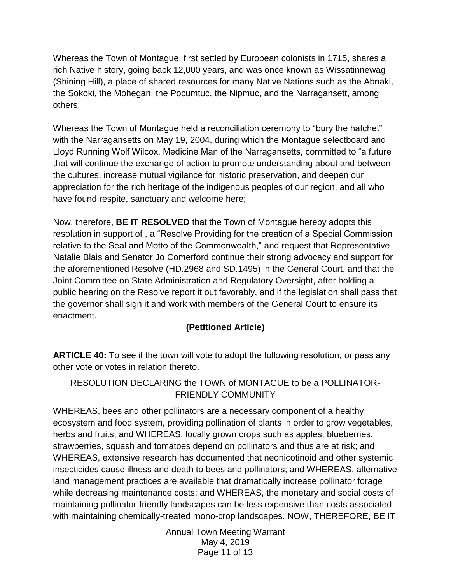Whereas the Town of Montague, first settled by European colonists in 1715, shares a rich Native history, going back 12,000 years, and was once known as Wissatinnewag (Shining Hill), a place of shared resources for many Native Nations such as the Abnaki, the Sokoki, the Mohegan, the Pocumtuc, the Nipmuc, and the Narragansett, among others;

Whereas the Town of Montague held a reconciliation ceremony to "bury the hatchet" with the Narragansetts on May 19, 2004, during which the Montague selectboard and Lloyd Running Wolf Wilcox, Medicine Man of the Narragansetts, committed to "a future that will continue the exchange of action to promote understanding about and between the cultures, increase mutual vigilance for historic preservation, and deepen our appreciation for the rich heritage of the indigenous peoples of our region, and all who have found respite, sanctuary and welcome here;

Now, therefore, **BE IT RESOLVED** that the Town of Montague hereby adopts this resolution in support of , a "Resolve Providing for the creation of a Special Commission relative to the Seal and Motto of the Commonwealth," and request that Representative Natalie Blais and Senator Jo Comerford continue their strong advocacy and support for the aforementioned Resolve (HD.2968 and SD.1495) in the General Court, and that the Joint Committee on State Administration and Regulatory Oversight, after holding a public hearing on the Resolve report it out favorably, and if the legislation shall pass that the governor shall sign it and work with members of the General Court to ensure its enactment.

#### **(Petitioned Article)**

**ARTICLE 40:** To see if the town will vote to adopt the following resolution, or pass any other vote or votes in relation thereto.

#### RESOLUTION DECLARING the TOWN of MONTAGUE to be a POLLINATOR-FRIENDLY COMMUNITY

WHEREAS, bees and other pollinators are a necessary component of a healthy ecosystem and food system, providing pollination of plants in order to grow vegetables, herbs and fruits; and WHEREAS, locally grown crops such as apples, blueberries, strawberries, squash and tomatoes depend on pollinators and thus are at risk; and WHEREAS, extensive research has documented that neonicotinoid and other systemic insecticides cause illness and death to bees and pollinators; and WHEREAS, alternative land management practices are available that dramatically increase pollinator forage while decreasing maintenance costs; and WHEREAS, the monetary and social costs of maintaining pollinator-friendly landscapes can be less expensive than costs associated with maintaining chemically-treated mono-crop landscapes. NOW, THEREFORE, BE IT

> Annual Town Meeting Warrant May 4, 2019 Page 11 of 13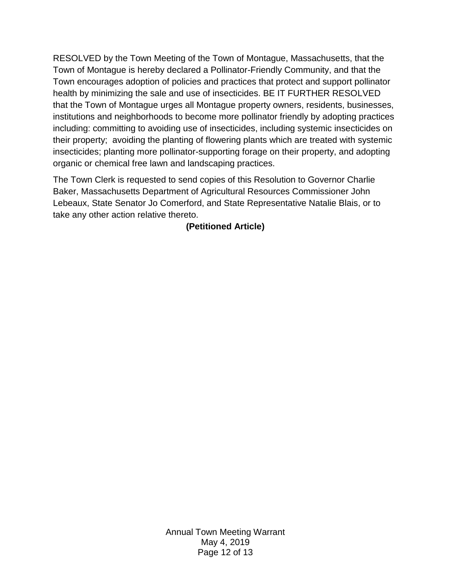RESOLVED by the Town Meeting of the Town of Montague, Massachusetts, that the Town of Montague is hereby declared a Pollinator-Friendly Community, and that the Town encourages adoption of policies and practices that protect and support pollinator health by minimizing the sale and use of insecticides. BE IT FURTHER RESOLVED that the Town of Montague urges all Montague property owners, residents, businesses, institutions and neighborhoods to become more pollinator friendly by adopting practices including: committing to avoiding use of insecticides, including systemic insecticides on their property; avoiding the planting of flowering plants which are treated with systemic insecticides; planting more pollinator-supporting forage on their property, and adopting organic or chemical free lawn and landscaping practices.

The Town Clerk is requested to send copies of this Resolution to Governor Charlie Baker, Massachusetts Department of Agricultural Resources Commissioner John Lebeaux, State Senator Jo Comerford, and State Representative Natalie Blais, or to take any other action relative thereto.

**(Petitioned Article)**

Annual Town Meeting Warrant May 4, 2019 Page 12 of 13